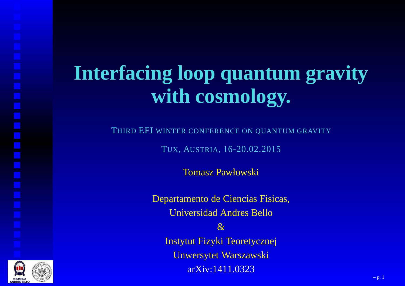### **Interfacing loop quantum gravitywith cosmology.**

THIRD EFI WINTER CONFERENCE ON QUANTUM GRAVITY

TUX, AUSTRIA, 16-20.02.2015

Tomasz Pawłowski

Departamento de Ciencias Físicas, Universidad Andres Bello $\mathcal{R}_{\mathcal{I}}$  Instytut Fizyki TeoretycznejUnwersytet WarszawskiarXiv:1411.0323

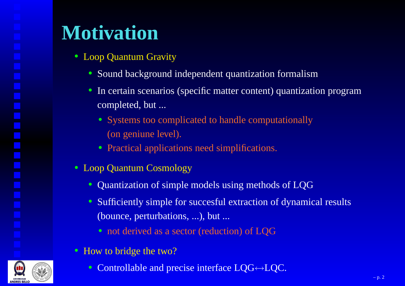### **Motivation**

- Loop Quantum Gravity
	- Sound background independent quantization formalism
	- In certain scenarios (specific matter content) quantization programcompleted, but ...
		- Systems too complicated to handle computationally(on geniune level).
		- Practical applications need simplifications.
- Loop Quantum Cosmology
	- Quantization of simple models using methods of LQG
	- Sufficiently simple for succesful extraction of dynamical results(bounce, perturbations, ...), but ...
		- not derived as <sup>a</sup> sector (reduction) of LQG
- How to bridge the two?
	- Controllable and precise interface LQG↔LQC.

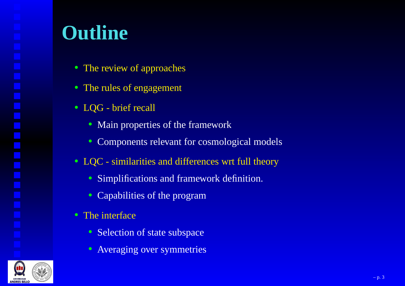#### **Outline**

- The review of approaches
- The rules of engagemen<sup>t</sup>
- LQG brief recall
	- Main properties of the framework
	- Components relevant for cosmological models
- LQC similarities and differences wrt full theory
	- Simplifications and framework definition.
	- Capabilities of the program
- The interface
	- Selection of state subspace
	- Averaging over symmetries

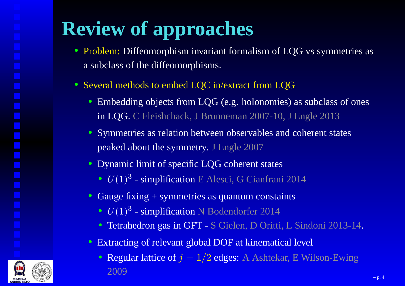# **Review of approaches**

- Problem: Diffeomorphism invariant formalism of LQG vs symmetries as<sup>a</sup> subclass of the diffeomorphisms.
- Several methods to embed LQC in/extract from LQG
	- Embedding objects from LQG (e.g. holonomies) as subclass of onesin LQG. C Fleishchack, J Brunneman 2007-10, J Engle 2013
	- Symmetries as relation between observables and coherent statespeaked about the symmetry. J Engle 2007
	- Dynamic limit of specific LQG coherent states
		- $U(1)^3$  simplification E Alesci, G Cianfrani 2014
	- Gauge fixing <sup>+</sup> symmetries as quantum constaints
		- $U(1)^3$  simplification N Bodendorfer 2014
		- Tetrahedron gas in GFT <sup>S</sup> Gielen, <sup>D</sup> Oritti, <sup>L</sup> Sindoni 2013-14.
	- Extracting of relevant global DOF at kinematical level
		- Regular lattice of  $j = 1/2$  edges: A Ashtekar, E Wilson-Ewing 2009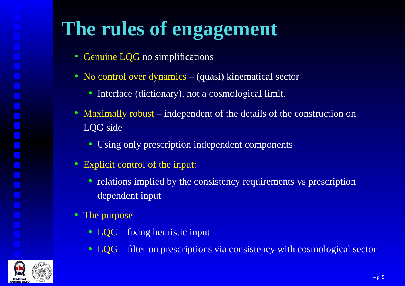### **The rules of engagement**

- Genuine LQG no simplifications
- No control over dynamics (quasi) kinematical sector
	- Interface (dictionary), not <sup>a</sup> cosmological limit.
- Maximally robust independent of the details of the construction onLQG side
	- Using only prescription independent components
- Explicit control of the input:
	- relations implied by the consistency requirements vs prescription dependent input
- The purpose
	- LQC fixing heuristic input
	- LQG filter on prescriptions via consistency with cosmological sector

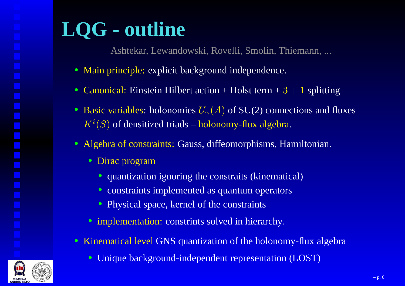# **LQG - outline**

Ashtekar, Lewandowski, Rovelli, Smolin, Thiemann, ...

- Main principle: explicit background independence.
- Canonical: Einstein Hilbert action + Holst term  $+3+1$  splitting
- Basic variables: holonomies  $U_{\gamma}(A)$  of SU(2) connections and fluxes  $K^i(S)$  of densitized triads – holonomy-flux algebra.
- Algebra of constraints: Gauss, diffeomorphisms, Hamiltonian.
	- Dirac program
		- quantization ignoring the constraits (kinematical)
		- constraints implemented as quantum operators
		- Physical space, kernel of the constraints
	- implementation: constrints solved in hierarchy.
- Kinematical level GNS quantization of the holonomy-flux algebra
	- $\bullet$ Unique background-independent representation (LOST)

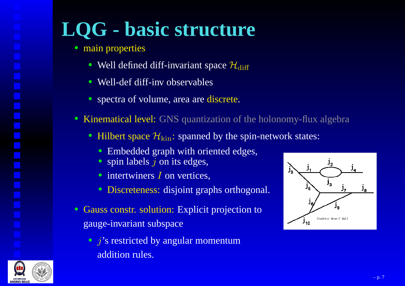## **LQG - basic structure**

- main properties
	- Well defined diff-invariant space  $\mathcal{H}_\text{diff}$
	- Well-def diff-inv observables
	- spectra of volume, area are discrete.
- Kinematical level: GNS quantization of the holonomy-flux algebra
	- Hilbert space  $\mathcal{H}_{\mathrm{kin}}$ : spanned by the spin-network states:
		- Embedded graph with oriented edges,
		- spin labels  $j$  on its edges,
		- intertwiners  $I$  on vertices,
		- Discreteness: disjoint graphs orthogonal.
- Gauss constr. solution: Explicit projection togauge-invariant subspace
	- $j$ 's restricted by angular momentum addition rules.



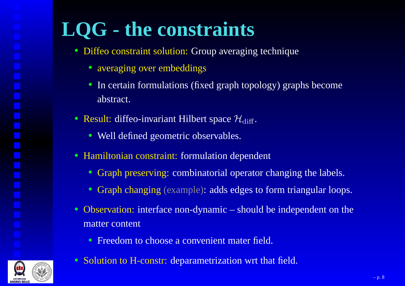### **LQG - the constraints**

- Diffeo constraint solution: Group averaging technique
	- averaging over embeddings
	- In certain formulations (fixed graph topology) graphs becomeabstract.
- Result: diffeo-invariant Hilbert space  $\mathcal{H}_{\text{diff}}$ .
	- Well defined geometric observables.
- Hamiltonian constraint: formulation dependent
	- Graph preserving: combinatorial operator changing the labels.
	- Graph changing (example): adds edges to form triangular loops.
- Observation: interface non-dynamic should be independent on thematter content
	- Freedom to choose <sup>a</sup> convenient mater field.
- Solution to H-constr: deparametrization wrt that field.

– p. 8

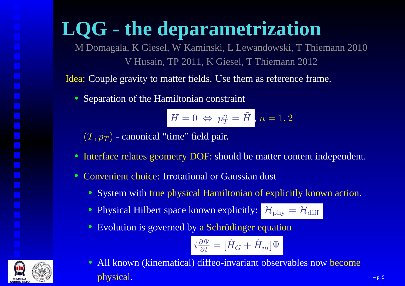### **LQG - the deparametrization**

 M Domagala, K Giesel, W Kaminski, L Lewandowski, T Thiemann 2010V Husain, TP 2011, K Giesel, T Thiemann 2012

Idea: Couple gravity to matter fields. Use them as reference frame.

• Separation of the Hamiltonian constraint

$$
H=0\ \Leftrightarrow\ p_T^n=\tilde{H}\,\bigl|\,,n=1,2\bigr|\,
$$

 $\left( T,p_{T}\right)$  - canonical "time" field pair.

- Interface relates geometry DOF: should be matter content independent.
- Convenient choice: Irrotational or Gaussian dust
	- System with true <sup>p</sup>hysical Hamiltonian of explicitly known action.
	- Physical Hilbert space known explicitly:  $\mathcal{H}_{\text{phy}}=\mathcal{H}_{\text{diff}}$
	- Evolution is governed by <sup>a</sup> Schrödinger equation

$$
i\frac{\partial \Psi}{\partial t} = [\hat{H}_G + \hat{H}_m]\Psi
$$

• All known (kinematical) diffeo-invariant observables now become physical.– p. 9  $-p.9$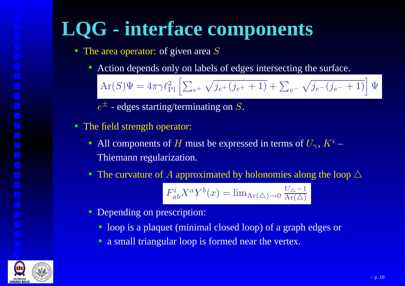## **LQG - interface components**

- The area operator: of given area  $S$ 
	- Action depends only on labels of edges intersecting the surface.

 $\text{Ar}(S)\Psi=4\pi\gamma\ell$ 2 $\Pr$  $\sum_{e^+}\sqrt{j_{e^+}}$  $+(j_e+$  $\overline{(+ + 1)} + \sum_{e^-} \sqrt{j_{e^-}}$  $-(j_e - + 1) \left( \Psi \right)$  $\prod$ 

 $e^\pm$  - edges starting/terminating on  $S.$ 

- The field strength operator:
	- All components of H must be expressed in terms of  $U_{\gamma}$ ,  $K^i$  Thiemann regularization.
	- The curvature of A approximated by holonomies along the loop  $\triangle$

$$
F_{ab}^i X^a Y^b(x) = \lim_{\text{Ar}(\triangle) \to 0} \frac{U_{\triangle} - 1}{\text{Ar}(\triangle)}
$$

- Depending on prescription:
	- loop is <sup>a</sup> plaquet (minimal closed loop) of <sup>a</sup> graph edges or
	- a small triangular loop is formed near the vertex.

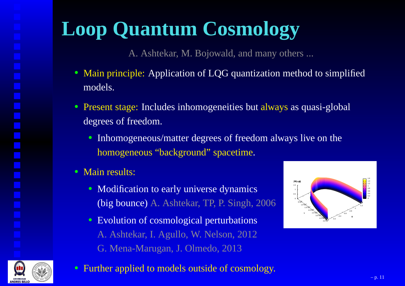## **Loop Quantum Cosmology**

A. Ashtekar, M. Bojowald, and many others ...

- Main principle: Application of LQG quantization method to simplified models.
- Present stage: Includes inhomogeneities but always as quasi-global degrees of freedom.
	- Inhomogeneous/matter degrees of freedom always live on thehomogeneous "background" spacetime.
- Main results:
	- Modification to early universe dynamics(big bounce) A. Ashtekar, TP, P. Singh, <sup>2006</sup>
	- Evolution of cosmological perturbationsA. Ashtekar, I. Agullo, W. Nelson, 2012G. Mena-Marugan, J. Olmedo, 2013





• Further applied to models outside of cosmology.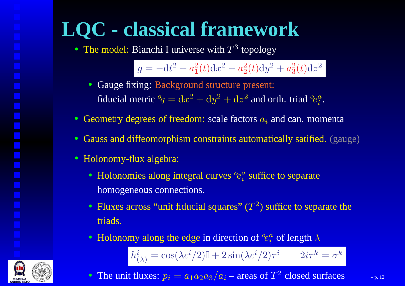### **LQC - classical framework**• The model: Bianchi I universe with  $T^3$  topology

 $g=-\mathrm{d}t^2$  $^{2}+a_{1}^{2}$  $_{1}^{2}(t)\mathrm{d}x^{2}$  $^{2}+a_{2}^{2}$  $_{2}^{2}(t)\mathrm{d}y^{2}$  $^{2}+a_{3}^{2}$  $_3^2(t) \mathrm{d} z^2$ 

- Gauge fixing: Background structure present: fiducial metric <sup>o</sup>  $q^oq = dx^2 + dy^2 + dz^2$  and orth. triad  $q^o$  ${}^o\!e^a_i$  $i$  .
- Geometry degrees of freedom: scale factors  $a_i$  and can. momenta
- Gauss and diffeomorphism constraints automatically satified. (gauge)
- Holonomy-flux algebra:
	- Holonomies along integral curves  $^o$  ${}^o\!e^a_i$  $\frac{a}{i}$  suffice to separate homogeneous connections.
	- Fluxes across "unit fiducial squares"  $(T^2)$  suffice to separate the triads.
	- Holonomy along the edge in direction of  $\Omega$  $e^a_i$  $\frac{a}{i}$  of length  $\lambda$  $h^i_{(\lambda)}=\cos(\lambda c^i/2)\mathbb{I}+2\sin(\lambda c^i/2)\tau^i \qquad 2i\tau^k$  $^{k}=\sigma ^{k}$
	- $\bullet$ • The unit fluxes:  $p_i = a_1 a_2 a_3/a_i$  – areas of  $T^2$  closed surfaces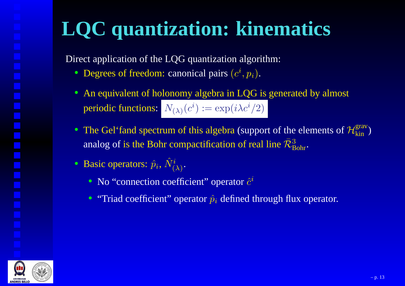## **LQC quantization: kinematics**

Direct application of the LQG quantization algorithm:

- Degrees of freedom: canonical pairs  $(c^i, p_i)$ .
- An equivalent of holonomy algebra in LQG is generated by almostperiodic functions:  $N_{(\lambda)}(c^i) := \exp(i\lambda c^i/2)$
- The Gel'fand spectrum of this algebra (support of the elements of  $\mathcal{H}_{\text{kin}}^{\text{grav}}$ ) analog of is the Bohr compactification of real line  $\bar{\mathcal{R}}_{\mathrm{B}}^3$ Bohr.
- Basic operators:  $\hat{p}_i$ ,  $\hat{N}^i_{(\lambda)}$ .
	- No "connection coefficient" operator  $\hat{c}^i$
	- "Triad coefficient" operator  $\hat{p}_i$  defined through flux operator.

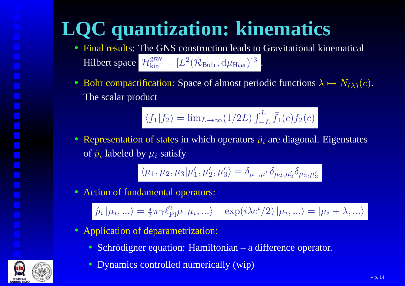# **LQC quantization: kinematics**

- Final results: The GNS construction leads to Gravitational kinematical Hilbert space  $\mathcal{H}_{\text{kin}}^{\text{grav}} = [L^2]$  $^{2}(\bar{\mathcal{R}}_{\text{Bohr}},\mathrm{d}\mu_{\text{Haar}})]^{3}$ .
- Bohr compactification: Space of almost periodic functions  $\lambda\mapsto N_{(\lambda)}(c)$ . The scalar product

$$
\langle f_1 | f_2 \rangle = \lim_{L \to \infty} (1/2L) \int_{-L}^{L} \bar{f}_1(c) f_2(c)
$$

• Representation of states in which operators  $\hat{p}_i$  are diagonal. Eigenstates of  $\hat{p}_i$  labeled by  $\mu_i$  satisfy

$$
\langle \mu_1, \mu_2, \mu_3 | \mu'_1, \mu'_2, \mu'_3 \rangle = \delta_{\mu_1, \mu'_1} \delta_{\mu_2, \mu'_2} \delta_{\mu_3, \mu'_3}
$$

• Action of fundamental operators:

 $\hat{p}_{i}\left|\mu_{i},...\right\rangle =\frac{4}{3}$  $\frac{4}{3}\pi\gamma\ell_{\text{F}}^2$  $P_{\rm Pl}\mu\ket{\mu_i,...} \quad \exp(i\lambda c^i/2)\ket{\mu_i,...} = \ket{\mu_i+\lambda,...}$ 

- Application of deparametrization:
	- Schrödigner equation: Hamiltonian <sup>a</sup> difference operator.
	- Dynamics controlled numerically (wip)

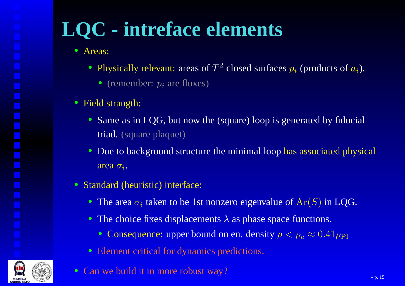## **LQC - intreface elements**

- Areas:
	- Physically relevant: areas of  $T^2$  closed surfaces  $p_i$  (products of  $a_i$ ).
		- (remember:  $p_i$  are fluxes)
- Field strangth:
	- Same as in LQG, but now the (square) loop is generated by fiducial triad. (square plaquet)
	- Due to background structure the minimal loop has associated physical area  $\sigma_i.$
- Standard (heuristic) interface:
	- The area  $\sigma_i$  taken to be 1st nonzero eigenvalue of  $Ar(S)$  in LQG.
	- The choice fixes displacements  $\lambda$  as phase space functions.
		- Consequence: upper bound on en. density  $\rho < \rho_c \approx 0.41 \rho_{\text{Pl}}$
	- Element critical for dynamics predictions.
- Can we build it in more robust way?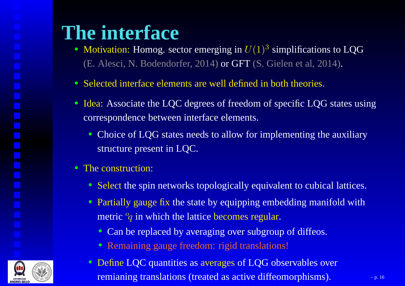### **The interface**

- Motivation: Homog. sector emerging in  $U(1)^3$  simplifications to LQG (E. Alesci, N. Bodendorfer, 2014) or GFT (S. Gielen et al, 2014).
- Selected interface elements are well defined in both theories.
- Idea: Associate the LQC degrees of freedom of specific LQG states using correspondence between interface elements.
	- Choice of LQG states needs to allow for implementing the auxiliary structure presen<sup>t</sup> in LQC.
- The construction:
	- Select the spin networks topologically equivalent to cubical lattices.
	- Partially gauge fix the state by equipping embedding manifold with metric <sup>o</sup>  ${}^o\!q$  in which the lattice becomes regular.
		- Can be replaced by averaging over subgroup of diffeos.
		- Remaining gauge freedom: rigid translations!
	- $\bullet$  Define LQC quantities as averages of LQG observables over remianing translations (treated as active diffeomorphisms).  $\blacksquare$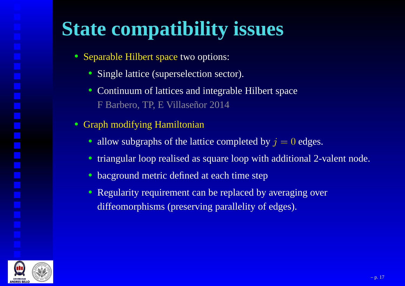## **State compatibility issues**

- Separable Hilbert space two options:
	- Single lattice (superselection sector).
	- Continuum of lattices and integrable Hilbert spaceF Barbero, TP, E Villaseñor 2014
- Graph modifying Hamiltonian
	- allow subgraphs of the lattice completed by  $j = 0$  edges.
	- triangular loop realised as square loop with additional 2-valent node.
	- bacground metric defined at each time step
	- Regularity requirement can be replaced by averaging overdiffeomorphisms (preserving parallelity of edges).

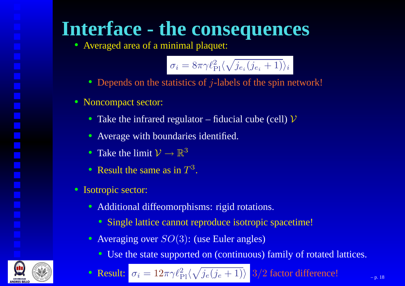#### **Interface - the consequences**

• Averaged area of <sup>a</sup> minimal plaquet:

$$
\sigma_i = 8\pi \gamma \ell_{\rm Pl}^2 \langle \sqrt{j_{e_i}(j_{e_i}+1)}\rangle_i
$$

- Depends on the statistics of  $j$ -labels of the spin network!
- Noncompact sector:
	- Take the infrared regulator fiducial cube (cell)  $\mathcal V$
	- Average with boundaries identified.
	- Take the limit  $\mathcal{V} \to \mathbb{R}^3$
	- Result the same as in  $T^3$ .
- Isotropic sector:
	- Additional diffeomorphisms: rigid rotations.
		- Single lattice cannot reproduce isotropic spacetime!
	- Averaging over  $SO(3)$ : (use Euler angles)
		- Use the state supported on (continuous) family of rotated lattices.

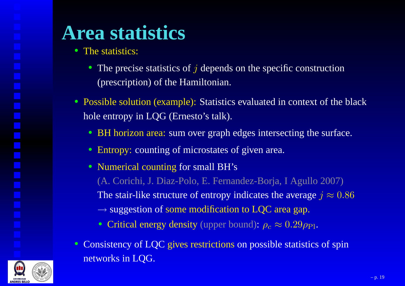### **Area statistics**

- The statistics:
	- The precise statistics of  $j$  depends on the specific construction (prescription) of the Hamiltonian.
- Possible solution (example): Statistics evaluated in context of the blackhole entropy in LQG (Ernesto's talk).
	- BH horizon area: sum over graph edges intersecting the surface.
	- Entropy: counting of microstates of given area.
	- Numerical counting for small BH's (A. Corichi, J. Diaz-Polo, E. Fernandez-Borja, I Agullo 2007)The stair-like structure of entropy indicates the average  $j\approx0.86$  $\rightarrow$  suggestion of some modification to LQC area gap.
		- Critical energy density (upper bound):  $\rho_c \approx 0.29 \rho_{\text{Pl}}$ .
- Consistency of LQC <sup>g</sup>ives restrictions on possible statistics of spin networks in LQG.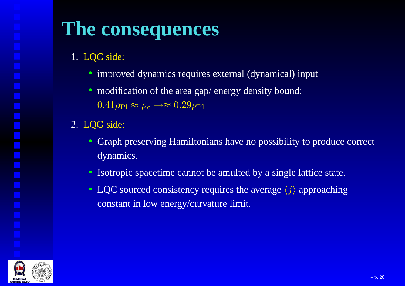#### **The consequences**

- 1. LQC side:
	- improved dynamics requires external (dynamical) input
	- modification of the area gap/ energy density bound:  $0.41\rho_{\rm Pl}\approx\rho_c\to\approx 0.29\rho_{\rm Pl}$
- 2. LQG side:
	- Graph preserving Hamiltonians have no possibility to produce correctdynamics.
	- Isotropic spacetime cannot be amulted by <sup>a</sup> single lattice state.
	- LQC sourced consistency requires the average  $\langle j \rangle$  approaching constant in low energy/curvature limit.